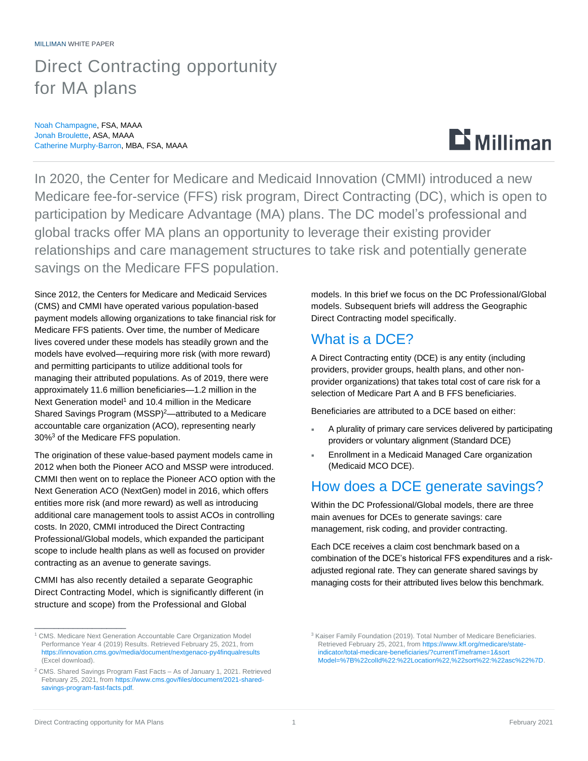## Direct Contracting opportunity for MA plans

Noah Champagne, FSA, MAAA Jonah Broulette, ASA, MAAA Catherine Murphy-Barron, MBA, FSA, MAAA

# $\mathbf{D}$  Milliman

In 2020, the Center for Medicare and Medicaid Innovation (CMMI) introduced a new Medicare fee-for-service (FFS) risk program, Direct Contracting (DC), which is open to participation by Medicare Advantage (MA) plans. The DC model's professional and global tracks offer MA plans an opportunity to leverage their existing provider relationships and care management structures to take risk and potentially generate savings on the Medicare FFS population.

Since 2012, the Centers for Medicare and Medicaid Services (CMS) and CMMI have operated various population-based payment models allowing organizations to take financial risk for Medicare FFS patients. Over time, the number of Medicare lives covered under these models has steadily grown and the models have evolved—requiring more risk (with more reward) and permitting participants to utilize additional tools for managing their attributed populations. As of 2019, there were approximately 11.6 million beneficiaries—1.2 million in the Next Generation model<sup>1</sup> and 10.4 million in the Medicare Shared Savings Program (MSSP)<sup>2</sup>—attributed to a Medicare accountable care organization (ACO), representing nearly 30%<sup>3</sup> of the Medicare FFS population.

The origination of these value-based payment models came in 2012 when both the Pioneer ACO and MSSP were introduced. CMMI then went on to replace the Pioneer ACO option with the Next Generation ACO (NextGen) model in 2016, which offers entities more risk (and more reward) as well as introducing additional care management tools to assist ACOs in controlling costs. In 2020, CMMI introduced the Direct Contracting Professional/Global models, which expanded the participant scope to include health plans as well as focused on provider contracting as an avenue to generate savings.

CMMI has also recently detailed a separate Geographic Direct Contracting Model, which is significantly different (in structure and scope) from the Professional and Global

models. In this brief we focus on the DC Professional/Global models. Subsequent briefs will address the Geographic Direct Contracting model specifically.

#### What is a DCE?

A Direct Contracting entity (DCE) is any entity (including providers, provider groups, health plans, and other nonprovider organizations) that takes total cost of care risk for a selection of Medicare Part A and B FFS beneficiaries.

Beneficiaries are attributed to a DCE based on either:

- A plurality of primary care services delivered by participating providers or voluntary alignment (Standard DCE)
- Enrollment in a Medicaid Managed Care organization (Medicaid MCO DCE).

#### How does a DCE generate savings?

Within the DC Professional/Global models, there are three main avenues for DCEs to generate savings: care management, risk coding, and provider contracting.

Each DCE receives a claim cost benchmark based on a combination of the DCE's historical FFS expenditures and a riskadjusted regional rate. They can generate shared savings by managing costs for their attributed lives below this benchmark.

\_\_\_\_\_\_\_\_\_\_\_\_\_\_\_\_\_\_\_

<sup>&</sup>lt;sup>1</sup> CMS. Medicare Next Generation Accountable Care Organization Model Performance Year 4 (2019) Results. Retrieved February 25, 2021, from <https://innovation.cms.gov/media/document/nextgenaco-py4finqualresults> (Excel download).

<sup>2</sup> CMS. Shared Savings Program Fast Facts – As of January 1, 2021. Retrieved February 25, 2021, fro[m https://www.cms.gov/files/document/2021-shared](https://www.cms.gov/files/document/2021-shared-savings-program-fast-facts.pdf)[savings-program-fast-facts.pdf.](https://www.cms.gov/files/document/2021-shared-savings-program-fast-facts.pdf)

<sup>&</sup>lt;sup>3</sup> Kaiser Family Foundation (2019). Total Number of Medicare Beneficiaries. Retrieved February 25, 2021, fro[m https://www.kff.org/medicare/state](https://www.kff.org/medicare/state-indicator/total-medicare-beneficiaries/?currentTimeframe=1&sortModel=%7B%22colId%22:%22Location%22,%22sort%22:%22asc%22%7D)[indicator/total-medicare-beneficiaries/?currentTimeframe=1&sort](https://www.kff.org/medicare/state-indicator/total-medicare-beneficiaries/?currentTimeframe=1&sortModel=%7B%22colId%22:%22Location%22,%22sort%22:%22asc%22%7D) [Model=%7B%22colId%22:%22Location%22,%22sort%22:%22asc%22%7D.](https://www.kff.org/medicare/state-indicator/total-medicare-beneficiaries/?currentTimeframe=1&sortModel=%7B%22colId%22:%22Location%22,%22sort%22:%22asc%22%7D)